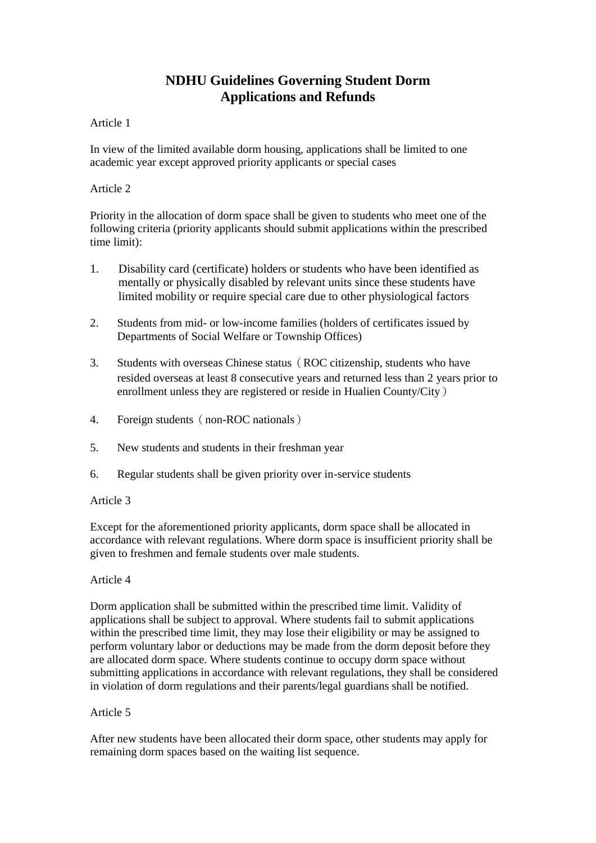# **NDHU Guidelines Governing Student Dorm Applications and Refunds**

# Article 1

In view of the limited available dorm housing, applications shall be limited to one academic year except approved priority applicants or special cases

# Article 2

Priority in the allocation of dorm space shall be given to students who meet one of the following criteria (priority applicants should submit applications within the prescribed time limit):

- 1. Disability card (certificate) holders or students who have been identified as mentally or physically disabled by relevant units since these students have limited mobility or require special care due to other physiological factors
- 2. Students from mid- or low-income families (holders of certificates issued by Departments of Social Welfare or Township Offices)
- 3. Students with overseas Chinese status (ROC citizenship, students who have resided overseas at least 8 consecutive years and returned less than 2 years prior to enrollment unless they are registered or reside in Hualien County/City)
- 4. Foreign students (non-ROC nationals)
- 5. New students and students in their freshman year
- 6. Regular students shall be given priority over in-service students

# Article 3

Except for the aforementioned priority applicants, dorm space shall be allocated in accordance with relevant regulations. Where dorm space is insufficient priority shall be given to freshmen and female students over male students.

# Article 4

Dorm application shall be submitted within the prescribed time limit. Validity of applications shall be subject to approval. Where students fail to submit applications within the prescribed time limit, they may lose their eligibility or may be assigned to perform voluntary labor or deductions may be made from the dorm deposit before they are allocated dorm space. Where students continue to occupy dorm space without submitting applications in accordance with relevant regulations, they shall be considered in violation of dorm regulations and their parents/legal guardians shall be notified.

# Article 5

After new students have been allocated their dorm space, other students may apply for remaining dorm spaces based on the waiting list sequence.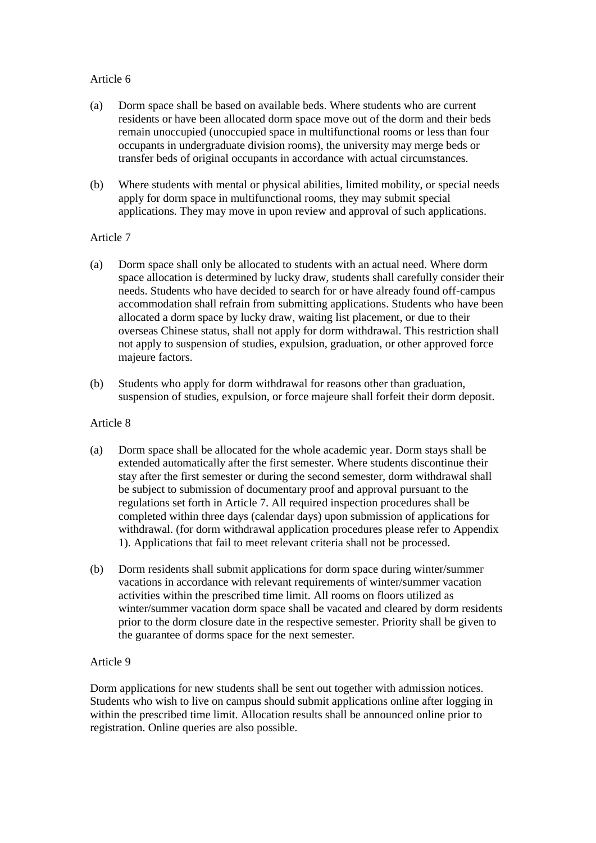# Article 6

- (a) Dorm space shall be based on available beds. Where students who are current residents or have been allocated dorm space move out of the dorm and their beds remain unoccupied (unoccupied space in multifunctional rooms or less than four occupants in undergraduate division rooms), the university may merge beds or transfer beds of original occupants in accordance with actual circumstances.
- (b) Where students with mental or physical abilities, limited mobility, or special needs apply for dorm space in multifunctional rooms, they may submit special applications. They may move in upon review and approval of such applications.

#### Article 7

- (a) Dorm space shall only be allocated to students with an actual need. Where dorm space allocation is determined by lucky draw, students shall carefully consider their needs. Students who have decided to search for or have already found off-campus accommodation shall refrain from submitting applications. Students who have been allocated a dorm space by lucky draw, waiting list placement, or due to their overseas Chinese status, shall not apply for dorm withdrawal. This restriction shall not apply to suspension of studies, expulsion, graduation, or other approved force majeure factors.
- (b) Students who apply for dorm withdrawal for reasons other than graduation, suspension of studies, expulsion, or force majeure shall forfeit their dorm deposit.

#### Article 8

- (a) Dorm space shall be allocated for the whole academic year. Dorm stays shall be extended automatically after the first semester. Where students discontinue their stay after the first semester or during the second semester, dorm withdrawal shall be subject to submission of documentary proof and approval pursuant to the regulations set forth in Article 7. All required inspection procedures shall be completed within three days (calendar days) upon submission of applications for withdrawal. (for dorm withdrawal application procedures please refer to Appendix 1). Applications that fail to meet relevant criteria shall not be processed.
- (b) Dorm residents shall submit applications for dorm space during winter/summer vacations in accordance with relevant requirements of winter/summer vacation activities within the prescribed time limit. All rooms on floors utilized as winter/summer vacation dorm space shall be vacated and cleared by dorm residents prior to the dorm closure date in the respective semester. Priority shall be given to the guarantee of dorms space for the next semester.

# Article 9

Dorm applications for new students shall be sent out together with admission notices. Students who wish to live on campus should submit applications online after logging in within the prescribed time limit. Allocation results shall be announced online prior to registration. Online queries are also possible.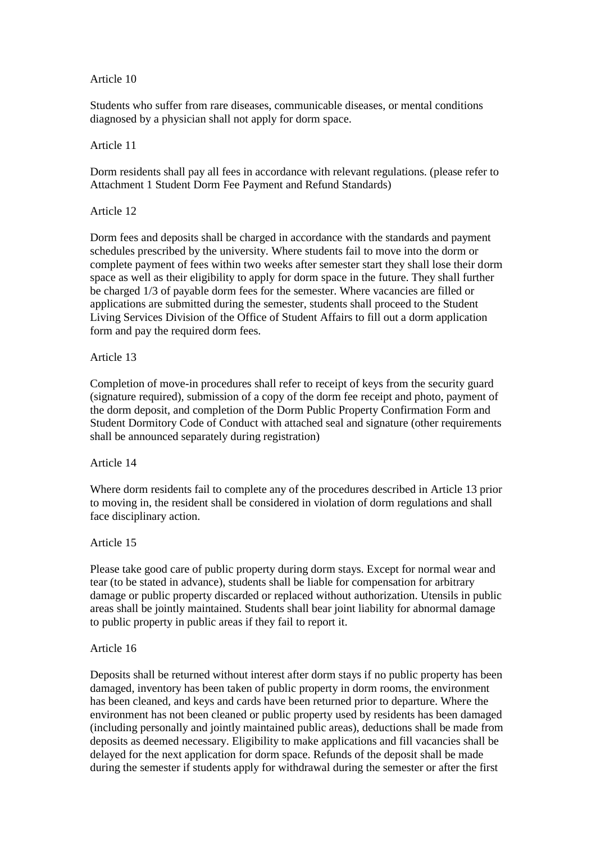### Article 10

Students who suffer from rare diseases, communicable diseases, or mental conditions diagnosed by a physician shall not apply for dorm space.

#### Article 11

Dorm residents shall pay all fees in accordance with relevant regulations. (please refer to Attachment 1 Student Dorm Fee Payment and Refund Standards)

Article 12

Dorm fees and deposits shall be charged in accordance with the standards and payment schedules prescribed by the university. Where students fail to move into the dorm or complete payment of fees within two weeks after semester start they shall lose their dorm space as well as their eligibility to apply for dorm space in the future. They shall further be charged 1/3 of payable dorm fees for the semester. Where vacancies are filled or applications are submitted during the semester, students shall proceed to the Student Living Services Division of the Office of Student Affairs to fill out a dorm application form and pay the required dorm fees.

#### Article 13

Completion of move-in procedures shall refer to receipt of keys from the security guard (signature required), submission of a copy of the dorm fee receipt and photo, payment of the dorm deposit, and completion of the Dorm Public Property Confirmation Form and Student Dormitory Code of Conduct with attached seal and signature (other requirements shall be announced separately during registration)

#### Article 14

Where dorm residents fail to complete any of the procedures described in Article 13 prior to moving in, the resident shall be considered in violation of dorm regulations and shall face disciplinary action.

# Article 15

Please take good care of public property during dorm stays. Except for normal wear and tear (to be stated in advance), students shall be liable for compensation for arbitrary damage or public property discarded or replaced without authorization. Utensils in public areas shall be jointly maintained. Students shall bear joint liability for abnormal damage to public property in public areas if they fail to report it.

#### Article 16

Deposits shall be returned without interest after dorm stays if no public property has been damaged, inventory has been taken of public property in dorm rooms, the environment has been cleaned, and keys and cards have been returned prior to departure. Where the environment has not been cleaned or public property used by residents has been damaged (including personally and jointly maintained public areas), deductions shall be made from deposits as deemed necessary. Eligibility to make applications and fill vacancies shall be delayed for the next application for dorm space. Refunds of the deposit shall be made during the semester if students apply for withdrawal during the semester or after the first